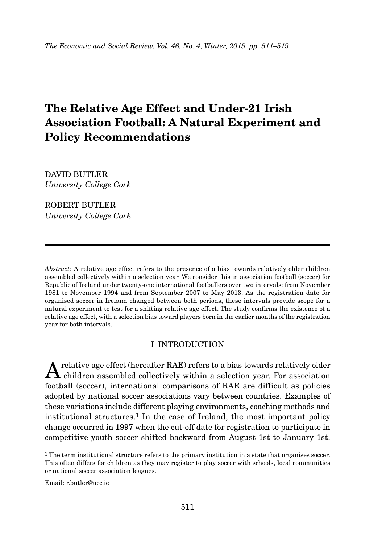# **The Relative Age Effect and Under-21 Irish Association Football: A Natural Experiment and Policy Recommendations**

DAVID BUTLER *University College Cork*

ROBERT BUTLER *University College Cork*

*Abstract:* A relative age effect refers to the presence of a bias towards relatively older children assembled collectively within a selection year. We consider this in association football (soccer) for Republic of Ireland under twenty-one international footballers over two intervals: from November 1981 to November 1994 and from September 2007 to May 2013. As the registration date for organised soccer in Ireland changed between both periods, these intervals provide scope for a natural experiment to test for a shifting relative age effect. The study confirms the existence of a relative age effect, with a selection bias toward players born in the earlier months of the registration year for both intervals.

# I INTRODUCTION

A relative age effect (hereafter RAE) refers to a bias towards relatively older<br>children assembled collectively within a selection year. For association football (soccer), international comparisons of RAE are difficult as policies adopted by national soccer associations vary between countries. Examples of these variations include different playing environments, coaching methods and institutional structures.1 In the case of Ireland, the most important policy change occurred in 1997 when the cut-off date for registration to participate in competitive youth soccer shifted backward from August 1st to January 1st.

<sup>1</sup> The term institutional structure refers to the primary institution in a state that organises soccer. This often differs for children as they may register to play soccer with schools, local communities or national soccer association leagues.

Email: r.butler@ucc.ie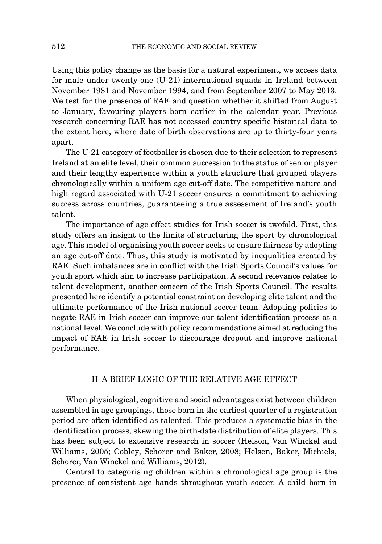Using this policy change as the basis for a natural experiment, we access data for male under twenty-one (U-21) international squads in Ireland between November 1981 and November 1994, and from September 2007 to May 2013. We test for the presence of RAE and question whether it shifted from August to January, favouring players born earlier in the calendar year. Previous research concerning RAE has not accessed country specific historical data to the extent here, where date of birth observations are up to thirty-four years apart.

The U-21 category of footballer is chosen due to their selection to represent Ireland at an elite level, their common succession to the status of senior player and their lengthy experience within a youth structure that grouped players chronologically within a uniform age cut-off date. The competitive nature and high regard associated with U-21 soccer ensures a commitment to achieving success across countries, guaranteeing a true assessment of Ireland's youth talent.

The importance of age effect studies for Irish soccer is twofold. First, this study offers an insight to the limits of structuring the sport by chronological age. This model of organising youth soccer seeks to ensure fairness by adopting an age cut-off date. Thus, this study is motivated by inequalities created by RAE. Such imbalances are in conflict with the Irish Sports Council's values for youth sport which aim to increase participation. A second relevance relates to talent development, another concern of the Irish Sports Council. The results presented here identify a potential constraint on developing elite talent and the ultimate performance of the Irish national soccer team. Adopting policies to negate RAE in Irish soccer can improve our talent identification process at a national level. We conclude with policy recommendations aimed at reducing the impact of RAE in Irish soccer to discourage dropout and improve national performance.

#### II A BRIEF LOGIC OF THE RELATIVE AGE EFFECT

When physiological, cognitive and social advantages exist between children assembled in age groupings, those born in the earliest quarter of a registration period are often identified as talented. This produces a systematic bias in the identification process, skewing the birth-date distribution of elite players. This has been subject to extensive research in soccer (Helson, Van Winckel and Williams, 2005; Cobley, Schorer and Baker, 2008; Helsen, Baker, Michiels, Schorer, Van Winckel and Williams, 2012).

Central to categorising children within a chronological age group is the presence of consistent age bands throughout youth soccer. A child born in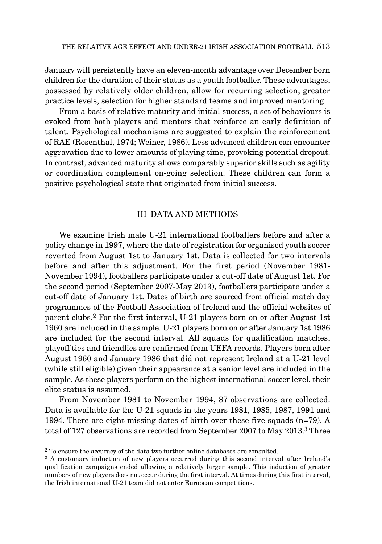January will persistently have an eleven-month advantage over December born children for the duration of their status as a youth footballer. These advantages, possessed by relatively older children, allow for recurring selection, greater practice levels, selection for higher standard teams and improved mentoring.

From a basis of relative maturity and initial success, a set of behaviours is evoked from both players and mentors that reinforce an early definition of talent. Psychological mechanisms are suggested to explain the reinforcement of RAE (Rosenthal, 1974; Weiner, 1986). Less advanced children can encounter aggravation due to lower amounts of playing time, provoking potential dropout. In contrast, advanced maturity allows comparably superior skills such as agility or coordination complement on-going selection. These children can form a positive psychological state that originated from initial success.

## III DATA AND METHODS

We examine Irish male U-21 international footballers before and after a policy change in 1997, where the date of registration for organised youth soccer reverted from August 1st to January 1st. Data is collected for two intervals before and after this adjustment. For the first period (November 1981- November 1994), footballers participate under a cut-off date of August 1st. For the second period (September 2007-May 2013), footballers participate under a cut-off date of January 1st. Dates of birth are sourced from official match day programmes of the Football Association of Ireland and the official websites of parent clubs.2 For the first interval, U-21 players born on or after August 1st 1960 are included in the sample. U-21 players born on or after January 1st 1986 are included for the second interval. All squads for qualification matches, playoff ties and friendlies are confirmed from UEFA records. Players born after August 1960 and January 1986 that did not represent Ireland at a U-21 level (while still eligible) given their appearance at a senior level are included in the sample. As these players perform on the highest international soccer level, their elite status is assumed.

From November 1981 to November 1994, 87 observations are collected. Data is available for the U-21 squads in the years 1981, 1985, 1987, 1991 and 1994. There are eight missing dates of birth over these five squads (n=79). A total of 127 observations are recorded from September 2007 to May 2013.3 Three

<sup>&</sup>lt;sup>2</sup> To ensure the accuracy of the data two further online databases are consulted.

<sup>3</sup> A customary induction of new players occurred during this second interval after Ireland's qualification campaigns ended allowing a relatively larger sample. This induction of greater numbers of new players does not occur during the first interval. At times during this first interval, the Irish international U-21 team did not enter European competitions.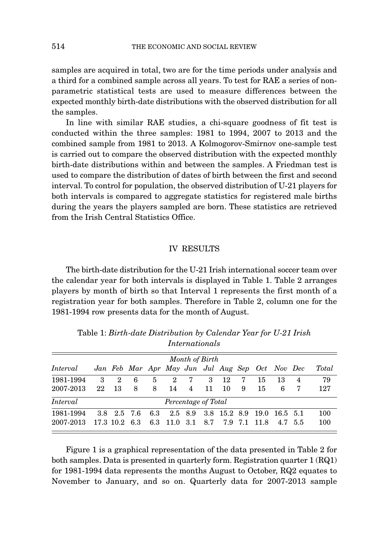samples are acquired in total, two are for the time periods under analysis and a third for a combined sample across all years. To test for RAE a series of nonparametric statistical tests are used to measure differences between the expected monthly birth-date distributions with the observed distribution for all the samples.

In line with similar RAE studies, a chi-square goodness of fit test is conducted within the three samples: 1981 to 1994, 2007 to 2013 and the combined sample from 1981 to 2013. A Kolmogorov-Smirnov one-sample test is carried out to compare the observed distribution with the expected monthly birth-date distributions within and between the samples. A Friedman test is used to compare the distribution of dates of birth between the first and second interval. To control for population, the observed distribution of U-21 players for both intervals is compared to aggregate statistics for registered male births during the years the players sampled are born. These statistics are retrieved from the Irish Central Statistics Office.

#### IV RESULTS

The birth-date distribution for the U-21 Irish international soccer team over the calendar year for both intervals is displayed in Table 1. Table 2 arranges players by month of birth so that Interval 1 represents the first month of a registration year for both samples. Therefore in Table 2, column one for the 1981-1994 row presents data for the month of August.

| Month of Birth |    |   |                              |                |  |  |                         |                                                       |    |              |                |                                                                                                      |
|----------------|----|---|------------------------------|----------------|--|--|-------------------------|-------------------------------------------------------|----|--------------|----------------|------------------------------------------------------------------------------------------------------|
|                |    |   |                              |                |  |  |                         |                                                       |    |              |                | Total                                                                                                |
| 3              | 2  | 6 | 5                            | $\overline{2}$ |  |  |                         | 7                                                     | 15 | -13          | $\overline{4}$ | 79                                                                                                   |
| 22             | 13 | 8 | 8                            |                |  |  | -10                     | -9                                                    | 15 | 6            | -7             | 127                                                                                                  |
|                |    |   |                              |                |  |  |                         |                                                       |    |              |                |                                                                                                      |
|                |    |   |                              |                |  |  |                         |                                                       |    |              |                | 100                                                                                                  |
|                |    |   |                              |                |  |  |                         |                                                       |    |              |                | 100                                                                                                  |
|                |    |   | 3.8 2.5 7.6<br>17.3 10.2 6.3 |                |  |  | $7\overline{ }$<br>14 4 | 3 12<br>11<br>Percentage of Total<br>6.3 11.0 3.1 8.7 |    | 7.9 7.1 11.8 |                | Jan Feb Mar Apr May Jun Jul Aug Sep Oct Nov Dec<br>6.3 2.5 8.9 3.8 15.2 8.9 19.0 16.5 5.1<br>4.7 5.5 |

Table 1: *Birth-date Distribution by Calendar Year for U-21 Irish Internationals*

Figure 1 is a graphical representation of the data presented in Table 2 for both samples. Data is presented in quarterly form. Registration quarter 1 (RQ1) for 1981-1994 data represents the months August to October, RQ2 equates to November to January, and so on. Quarterly data for 2007-2013 sample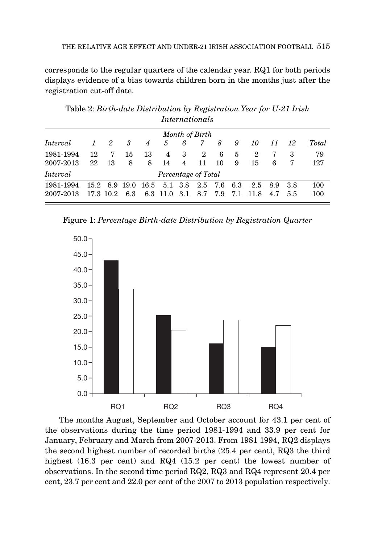corresponds to the regular quarters of the calendar year. RQ1 for both periods displays evidence of a bias towards children born in the months just after the registration cut-off date.

|           |               |    |     |                |                                |   | Month of Birth |     |      |       |         |      |       |
|-----------|---------------|----|-----|----------------|--------------------------------|---|----------------|-----|------|-------|---------|------|-------|
| Interval  | $\mathcal{I}$ | 2  | -3  | $\overline{4}$ | $\mathcal{F}$                  | 6 | 7              | 8   | 9    | 10    | -11     | 12   | Total |
| 1981-1994 | 12            | 7  | 15  | 13             | 4                              | 3 | 2              | 6   | 5    | 2     | 7       | З    | 79    |
| 2007-2013 | 22            | 13 | 8   | 8              | 14                             | 4 | 11             | 10  | 9    | 15    | 6       | 7    | 127   |
| Interval  |               |    |     |                | Percentage of Total            |   |                |     |      |       |         |      |       |
| 1981-1994 |               |    |     |                | 15.2 8.9 19.0 16.5 5.1 3.8 2.5 |   |                | 7.6 | -6.3 |       | 2.5 8.9 | -3.8 | 100   |
| 2007-2013 | 17.3 10.2     |    | 6.3 |                | 6.3 11.0 3.1                   |   | 8.7            | 7.9 | 7.1  | -11.8 | 4.7     | 5.5  | 100   |

Table 2: *Birth-date Distribution by Registration Year for U-21 Irish Internationals*

Figure 1: *Percentage Birth-date Distribution by Registration Quarter*



The months August, September and October account for 43.1 per cent of the observations during the time period 1981-1994 and 33.9 per cent for January, February and March from 2007-2013. From 1981 1994, RQ2 displays the second highest number of recorded births (25.4 per cent), RQ3 the third highest (16.3 per cent) and RQ4 (15.2 per cent) the lowest number of observations. In the second time period RQ2, RQ3 and RQ4 represent 20.4 per cent, 23.7 per cent and 22.0 per cent of the 2007 to 2013 population respectively.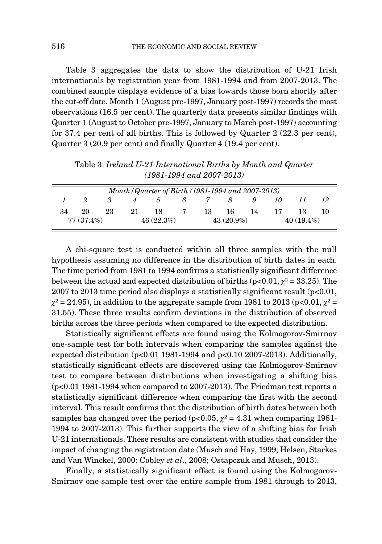Table 3 aggregates the data to show the distribution of U-21 Irish internationals by registration year from 1981-1994 and from 2007-2013. The combined sample displays evidence of a bias towards those born shortly after the cut-off date. Month 1 (August pre-1997, January post-1997) records the most observations (16.5 per cent). The quarterly data presents similar findings with Quarter 1 (August to October pre-1997, January to March post-1997) accounting for 37.4 per cent of all births. This is followed by Quarter 2 (22.3 per cent), Quarter 3 (20.9 per cent) and finally Quarter 4 (19.4 per cent).

|              | Month / Quarter of Birth (1981-1994 and 2007-2013) |    |    |               |              |     |              |    |    |              |  |
|--------------|----------------------------------------------------|----|----|---------------|--------------|-----|--------------|----|----|--------------|--|
|              |                                                    |    |    | $\mathcal{D}$ | $\mathbf{6}$ |     |              | 9  | 70 |              |  |
| 34           | 20                                                 | 23 | 21 | 18            |              | 13. | 16           | 14 | 17 |              |  |
| $77(37.4\%)$ |                                                    |    |    | 46(22.3%)     |              |     | $43(20.9\%)$ |    |    | $40(19.4\%)$ |  |

Table 3: *Ireland U-21 International Births by Month and Quarter (1981-1994 and 2007-2013)*

A chi-square test is conducted within all three samples with the null hypothesis assuming no difference in the distribution of birth dates in each. The time period from 1981 to 1994 confirms a statistically significant difference between the actual and expected distribution of births ( $p<0.01$ ,  $\gamma^2 = 33.25$ ). The  $2007$  to  $2013$  time period also displays a statistically significant result (p $<0.01$ ,  $\gamma^2 = 24.95$ ), in addition to the aggregate sample from 1981 to 2013 (p<0.01,  $\gamma^2 =$ 31.55). These three results confirm deviations in the distribution of observed births across the three periods when compared to the expected distribution.

Statistically significant effects are found using the Kolmogorov-Smirnov one-sample test for both intervals when comparing the samples against the expected distribution (p<0.01 1981-1994 and p<0.10 2007-2013). Additionally, statistically significant effects are discovered using the Kolmogorov-Smirnov test to compare between distributions when investigating a shifting bias (p<0.01 1981-1994 when compared to 2007-2013). The Friedman test reports a statistically significant difference when comparing the first with the second interval. This result confirms that the distribution of birth dates between both samples has changed over the period (p<0.05,  $\chi^2 = 4.31$  when comparing 1981-1994 to 2007-2013). This further supports the view of a shifting bias for Irish U-21 internationals. These results are consistent with studies that consider the impact of changing the registration date (Musch and Hay, 1999; Helsen, Starkes and Van Winckel, 2000: Cobley *et al*., 2008; Ostapczuk and Musch, 2013).

Finally, a statistically significant effect is found using the Kolmogorov-Smirnov one-sample test over the entire sample from 1981 through to 2013,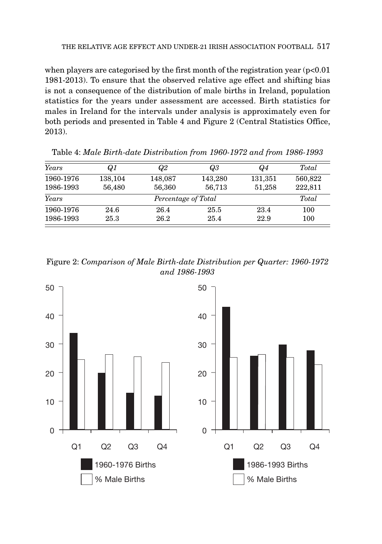when players are categorised by the first month of the registration year  $(p<0.01)$ 1981-2013). To ensure that the observed relative age effect and shifting bias is not a consequence of the distribution of male births in Ireland, population statistics for the years under assessment are accessed. Birth statistics for males in Ireland for the intervals under analysis is approximately even for both periods and presented in Table 4 and Figure 2 (Central Statistics Office, 2013).

| Years                        | Q1      |         | Q3      | Q4      | Total   |  |  |
|------------------------------|---------|---------|---------|---------|---------|--|--|
| 1960-1976                    | 138,104 | 148,087 | 143,280 | 131,351 | 560,822 |  |  |
| 1986-1993                    | 56,480  | 56,360  | 56,713  | 51,258  | 222,811 |  |  |
| Years<br>Percentage of Total |         |         |         |         |         |  |  |
| 1960-1976                    | 24.6    | 26.4    | 25.5    | 23.4    | 100     |  |  |
| 1986-1993                    | 25.3    | 26.2    | 25.4    | 22.9    | 100     |  |  |

Table 4: *Male Birth-date Distribution from 1960-1972 and from 1986-1993*

Figure 2: *Comparison of Male Birth-date Distribution per Quarter: 1960-1972 and 1986-1993*

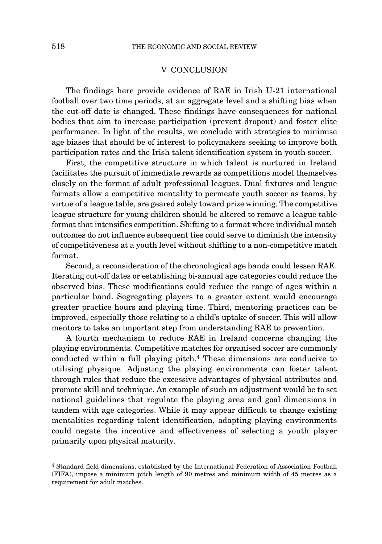## V CONCLUSION

The findings here provide evidence of RAE in Irish U-21 international football over two time periods, at an aggregate level and a shifting bias when the cut-off date is changed. These findings have consequences for national bodies that aim to increase participation (prevent dropout) and foster elite performance. In light of the results, we conclude with strategies to minimise age biases that should be of interest to policymakers seeking to improve both participation rates and the Irish talent identification system in youth soccer.

First, the competitive structure in which talent is nurtured in Ireland facilitates the pursuit of immediate rewards as competitions model themselves closely on the format of adult professional leagues. Dual fixtures and league formats allow a competitive mentality to permeate youth soccer as teams, by virtue of a league table, are geared solely toward prize winning. The competitive league structure for young children should be altered to remove a league table format that intensifies competition. Shifting to a format where individual match outcomes do not influence subsequent ties could serve to diminish the intensity of competitiveness at a youth level without shifting to a non-competitive match format.

Second, a reconsideration of the chronological age bands could lessen RAE. Iterating cut-off dates or establishing bi-annual age categories could reduce the observed bias. These modifications could reduce the range of ages within a particular band. Segregating players to a greater extent would encourage greater practice hours and playing time. Third, mentoring practices can be improved, especially those relating to a child's uptake of soccer. This will allow mentors to take an important step from understanding RAE to prevention.

A fourth mechanism to reduce RAE in Ireland concerns changing the playing environments. Competitive matches for organised soccer are commonly conducted within a full playing pitch.4 These dimensions are conducive to utilising physique. Adjusting the playing environments can foster talent through rules that reduce the excessive advantages of physical attributes and promote skill and technique. An example of such an adjustment would be to set national guidelines that regulate the playing area and goal dimensions in tandem with age categories. While it may appear difficult to change existing mentalities regarding talent identification, adapting playing environments could negate the incentive and effectiveness of selecting a youth player primarily upon physical maturity.

<sup>4</sup> Standard field dimensions, established by the International Federation of Association Football (FIFA), impose a minimum pitch length of 90 metres and minimum width of 45 metres as a requirement for adult matches.